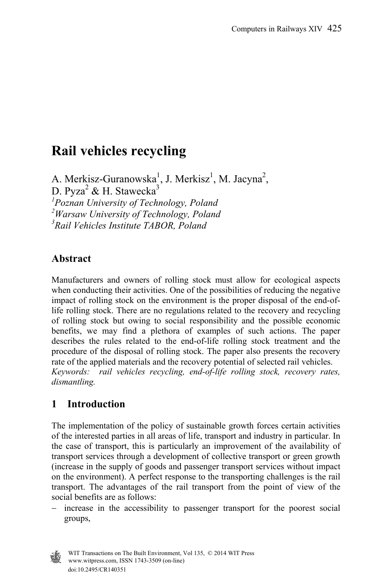# **Rail vehicles recycling**

A. Merkisz-Guranowska<sup>1</sup>, J. Merkisz<sup>1</sup>, M. Jacyna<sup>2</sup>, D. Pyza<sup>2</sup> & H. Stawecka<sup>3</sup> *1 Poznan University of Technology, Poland 2 Warsaw University of Technology, Poland 3 Rail Vehicles Institute TABOR, Poland* 

### **Abstract**

Manufacturers and owners of rolling stock must allow for ecological aspects when conducting their activities. One of the possibilities of reducing the negative impact of rolling stock on the environment is the proper disposal of the end-oflife rolling stock. There are no regulations related to the recovery and recycling of rolling stock but owing to social responsibility and the possible economic benefits, we may find a plethora of examples of such actions. The paper describes the rules related to the end-of-life rolling stock treatment and the procedure of the disposal of rolling stock. The paper also presents the recovery rate of the applied materials and the recovery potential of selected rail vehicles. *Keywords: rail vehicles recycling, end-of-life rolling stock, recovery rates, dismantling.* 

# **1 Introduction**

The implementation of the policy of sustainable growth forces certain activities of the interested parties in all areas of life, transport and industry in particular. In the case of transport, this is particularly an improvement of the availability of transport services through a development of collective transport or green growth (increase in the supply of goods and passenger transport services without impact on the environment). A perfect response to the transporting challenges is the rail transport. The advantages of the rail transport from the point of view of the social benefits are as follows:

 increase in the accessibility to passenger transport for the poorest social groups,



 www.witpress.com, ISSN 1743-3509 (on-line) WIT Transactions on The Built Environment, Vol 135, © 2014 WIT Press doi:10.2495/CR140351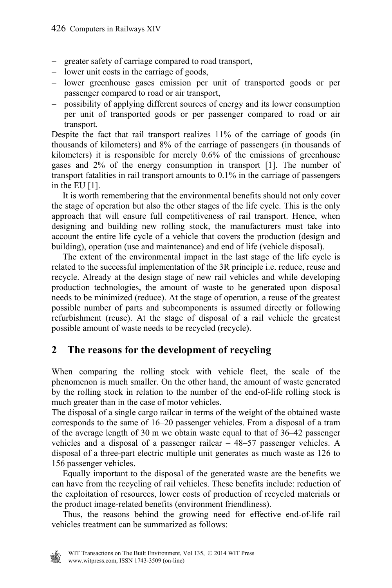- greater safety of carriage compared to road transport,
- lower unit costs in the carriage of goods,
- lower greenhouse gases emission per unit of transported goods or per passenger compared to road or air transport,
- possibility of applying different sources of energy and its lower consumption per unit of transported goods or per passenger compared to road or air transport.

Despite the fact that rail transport realizes 11% of the carriage of goods (in thousands of kilometers) and 8% of the carriage of passengers (in thousands of kilometers) it is responsible for merely 0.6% of the emissions of greenhouse gases and 2% of the energy consumption in transport [1]. The number of transport fatalities in rail transport amounts to 0.1% in the carriage of passengers in the EU [1].

 It is worth remembering that the environmental benefits should not only cover the stage of operation but also the other stages of the life cycle. This is the only approach that will ensure full competitiveness of rail transport. Hence, when designing and building new rolling stock, the manufacturers must take into account the entire life cycle of a vehicle that covers the production (design and building), operation (use and maintenance) and end of life (vehicle disposal).

 The extent of the environmental impact in the last stage of the life cycle is related to the successful implementation of the 3R principle i.e. reduce, reuse and recycle. Already at the design stage of new rail vehicles and while developing production technologies, the amount of waste to be generated upon disposal needs to be minimized (reduce). At the stage of operation, a reuse of the greatest possible number of parts and subcomponents is assumed directly or following refurbishment (reuse). At the stage of disposal of a rail vehicle the greatest possible amount of waste needs to be recycled (recycle).

### **2 The reasons for the development of recycling**

When comparing the rolling stock with vehicle fleet, the scale of the phenomenon is much smaller. On the other hand, the amount of waste generated by the rolling stock in relation to the number of the end-of-life rolling stock is much greater than in the case of motor vehicles.

The disposal of a single cargo railcar in terms of the weight of the obtained waste corresponds to the same of 16–20 passenger vehicles. From a disposal of a tram of the average length of 30 m we obtain waste equal to that of 36–42 passenger vehicles and a disposal of a passenger railcar – 48–57 passenger vehicles. A disposal of a three-part electric multiple unit generates as much waste as 126 to 156 passenger vehicles.

 Equally important to the disposal of the generated waste are the benefits we can have from the recycling of rail vehicles. These benefits include: reduction of the exploitation of resources, lower costs of production of recycled materials or the product image-related benefits (environment friendliness).

 Thus, the reasons behind the growing need for effective end-of-life rail vehicles treatment can be summarized as follows:

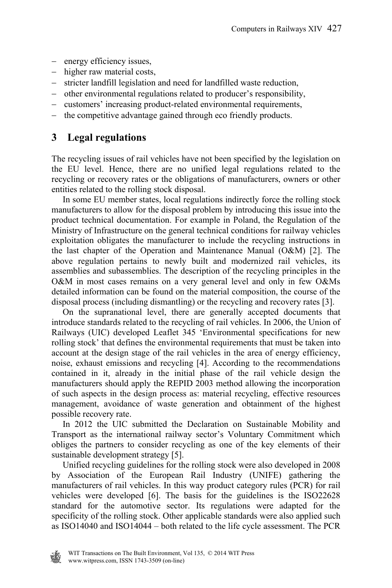- energy efficiency issues,
- higher raw material costs,
- stricter landfill legislation and need for landfilled waste reduction,
- other environmental regulations related to producer's responsibility,
- customers' increasing product-related environmental requirements,
- the competitive advantage gained through eco friendly products.

### **3 Legal regulations**

The recycling issues of rail vehicles have not been specified by the legislation on the EU level. Hence, there are no unified legal regulations related to the recycling or recovery rates or the obligations of manufacturers, owners or other entities related to the rolling stock disposal.

 In some EU member states, local regulations indirectly force the rolling stock manufacturers to allow for the disposal problem by introducing this issue into the product technical documentation. For example in Poland, the Regulation of the Ministry of Infrastructure on the general technical conditions for railway vehicles exploitation obligates the manufacturer to include the recycling instructions in the last chapter of the Operation and Maintenance Manual (O&M) [2]. The above regulation pertains to newly built and modernized rail vehicles, its assemblies and subassemblies. The description of the recycling principles in the O&M in most cases remains on a very general level and only in few O&Ms detailed information can be found on the material composition, the course of the disposal process (including dismantling) or the recycling and recovery rates [3].

 On the supranational level, there are generally accepted documents that introduce standards related to the recycling of rail vehicles. In 2006, the Union of Railways (UIC) developed Leaflet 345 'Environmental specifications for new rolling stock' that defines the environmental requirements that must be taken into account at the design stage of the rail vehicles in the area of energy efficiency, noise, exhaust emissions and recycling [4]. According to the recommendations contained in it, already in the initial phase of the rail vehicle design the manufacturers should apply the REPID 2003 method allowing the incorporation of such aspects in the design process as: material recycling, effective resources management, avoidance of waste generation and obtainment of the highest possible recovery rate.

 In 2012 the UIC submitted the Declaration on Sustainable Mobility and Transport as the international railway sector's Voluntary Commitment which obliges the partners to consider recycling as one of the key elements of their sustainable development strategy [5].

 Unified recycling guidelines for the rolling stock were also developed in 2008 by Association of the European Rail Industry (UNIFE) gathering the manufacturers of rail vehicles. In this way product category rules (PCR) for rail vehicles were developed [6]. The basis for the guidelines is the ISO22628 standard for the automotive sector. Its regulations were adapted for the specificity of the rolling stock. Other applicable standards were also applied such as ISO14040 and ISO14044 – both related to the life cycle assessment. The PCR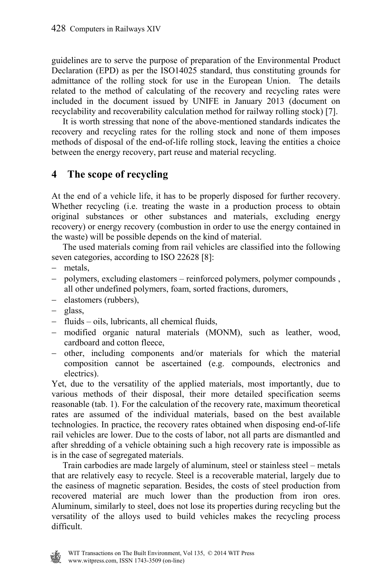guidelines are to serve the purpose of preparation of the Environmental Product Declaration (EPD) as per the ISO14025 standard, thus constituting grounds for admittance of the rolling stock for use in the European Union. The details related to the method of calculating of the recovery and recycling rates were included in the document issued by UNIFE in January 2013 (document on recyclability and recoverability calculation method for railway rolling stock) [7].

 It is worth stressing that none of the above-mentioned standards indicates the recovery and recycling rates for the rolling stock and none of them imposes methods of disposal of the end-of-life rolling stock, leaving the entities a choice between the energy recovery, part reuse and material recycling.

# **4 The scope of recycling**

At the end of a vehicle life, it has to be properly disposed for further recovery. Whether recycling (i.e. treating the waste in a production process to obtain original substances or other substances and materials, excluding energy recovery) or energy recovery (combustion in order to use the energy contained in the waste) will be possible depends on the kind of material.

 The used materials coming from rail vehicles are classified into the following seven categories, according to ISO 22628 [8]:

- metals,
- polymers, excluding elastomers reinforced polymers, polymer compounds , all other undefined polymers, foam, sorted fractions, duromers,
- elastomers (rubbers),
- glass,
- $-$  fluids  $-$  oils, lubricants, all chemical fluids,
- modified organic natural materials (MONM), such as leather, wood, cardboard and cotton fleece,
- other, including components and/or materials for which the material composition cannot be ascertained (e.g. compounds, electronics and electrics).

Yet, due to the versatility of the applied materials, most importantly, due to various methods of their disposal, their more detailed specification seems reasonable (tab. 1). For the calculation of the recovery rate, maximum theoretical rates are assumed of the individual materials, based on the best available technologies. In practice, the recovery rates obtained when disposing end-of-life rail vehicles are lower. Due to the costs of labor, not all parts are dismantled and after shredding of a vehicle obtaining such a high recovery rate is impossible as is in the case of segregated materials.

 Train carbodies are made largely of aluminum, steel or stainless steel – metals that are relatively easy to recycle. Steel is a recoverable material, largely due to the easiness of magnetic separation. Besides, the costs of steel production from recovered material are much lower than the production from iron ores. Aluminum, similarly to steel, does not lose its properties during recycling but the versatility of the alloys used to build vehicles makes the recycling process difficult.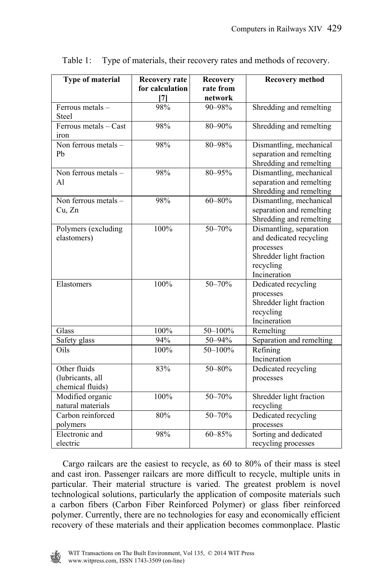| Type of material                                     | <b>Recovery rate</b> | Recovery    | <b>Recovery method</b>                                                                                                  |
|------------------------------------------------------|----------------------|-------------|-------------------------------------------------------------------------------------------------------------------------|
|                                                      | for calculation      | rate from   |                                                                                                                         |
|                                                      | $[7]$                | network     |                                                                                                                         |
| Ferrous metals $-$<br><b>Steel</b>                   | 98%                  | 90-98%      | Shredding and remelting                                                                                                 |
| Ferrous metals - Cast<br>iron                        | 98%                  | $80 - 90\%$ | Shredding and remelting                                                                                                 |
| Non ferrous metals -<br>Ph                           | 98%                  | 80-98%      | Dismantling, mechanical<br>separation and remelting<br>Shredding and remelting                                          |
| Non ferrous metals -<br>A1                           | 98%                  | 80-95%      | Dismantling, mechanical<br>separation and remelting<br>Shredding and remelting                                          |
| Non ferrous metals -<br>Cu, Zn                       | 98%                  | $60 - 80%$  | Dismantling, mechanical<br>separation and remelting<br>Shredding and remelting                                          |
| Polymers (excluding<br>elastomers)                   | 100%                 | $50 - 70%$  | Dismantling, separation<br>and dedicated recycling<br>processes<br>Shredder light fraction<br>recycling<br>Incineration |
| Elastomers                                           | 100%                 | $50 - 70%$  | Dedicated recycling<br>processes<br>Shredder light fraction<br>recycling<br>Incineration                                |
| Glass                                                | 100%                 | 50-100%     | Remelting                                                                                                               |
| Safety glass                                         | 94%                  | 50-94%      | Separation and remelting                                                                                                |
| Oils                                                 | 100%                 | $50 - 100%$ | Refining<br>Incineration                                                                                                |
| Other fluids<br>(lubricants, all<br>chemical fluids) | 83%                  | $50 - 80%$  | Dedicated recycling<br>processes                                                                                        |
| Modified organic<br>natural materials                | 100%                 | $50 - 70%$  | Shredder light fraction<br>recycling                                                                                    |
| Carbon reinforced<br>polymers                        | 80%                  | $50 - 70%$  | Dedicated recycling<br>processes                                                                                        |
| Electronic and<br>electric                           | 98%                  | $60 - 85%$  | Sorting and dedicated<br>recycling processes                                                                            |

Table 1: Type of materials, their recovery rates and methods of recovery.

 Cargo railcars are the easiest to recycle, as 60 to 80% of their mass is steel and cast iron. Passenger railcars are more difficult to recycle, multiple units in particular. Their material structure is varied. The greatest problem is novel technological solutions, particularly the application of composite materials such a carbon fibers (Carbon Fiber Reinforced Polymer) or glass fiber reinforced polymer. Currently, there are no technologies for easy and economically efficient recovery of these materials and their application becomes commonplace. Plastic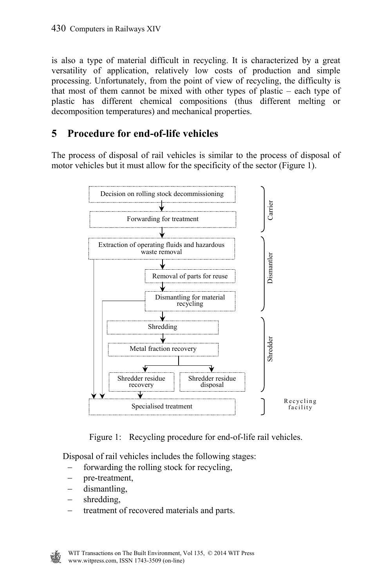is also a type of material difficult in recycling. It is characterized by a great versatility of application, relatively low costs of production and simple processing. Unfortunately, from the point of view of recycling, the difficulty is that most of them cannot be mixed with other types of plastic – each type of plastic has different chemical compositions (thus different melting or decomposition temperatures) and mechanical properties.

### **5 Procedure for end-of-life vehicles**

The process of disposal of rail vehicles is similar to the process of disposal of motor vehicles but it must allow for the specificity of the sector (Figure 1).



Figure 1: Recycling procedure for end-of-life rail vehicles.

Disposal of rail vehicles includes the following stages:

- forwarding the rolling stock for recycling,
- pre-treatment,
- dismantling,
- shredding,
- treatment of recovered materials and parts.

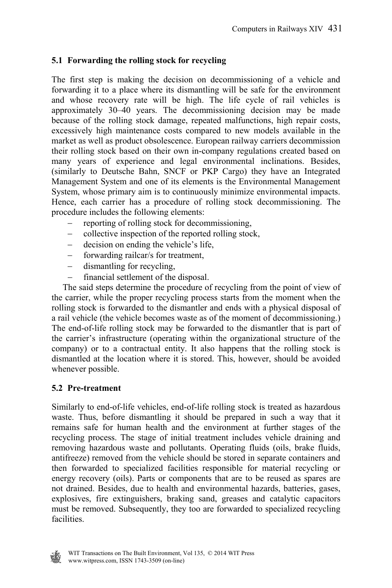#### **5.1 Forwarding the rolling stock for recycling**

The first step is making the decision on decommissioning of a vehicle and forwarding it to a place where its dismantling will be safe for the environment and whose recovery rate will be high. The life cycle of rail vehicles is approximately 30–40 years. The decommissioning decision may be made because of the rolling stock damage, repeated malfunctions, high repair costs, excessively high maintenance costs compared to new models available in the market as well as product obsolescence. European railway carriers decommission their rolling stock based on their own in-company regulations created based on many years of experience and legal environmental inclinations. Besides, (similarly to Deutsche Bahn, SNCF or PKP Cargo) they have an Integrated Management System and one of its elements is the Environmental Management System, whose primary aim is to continuously minimize environmental impacts. Hence, each carrier has a procedure of rolling stock decommissioning. The procedure includes the following elements:

- reporting of rolling stock for decommissioning,
- collective inspection of the reported rolling stock,
- decision on ending the vehicle's life,
- forwarding railcar/s for treatment,
- dismantling for recycling,
- financial settlement of the disposal.

 The said steps determine the procedure of recycling from the point of view of the carrier, while the proper recycling process starts from the moment when the rolling stock is forwarded to the dismantler and ends with a physical disposal of a rail vehicle (the vehicle becomes waste as of the moment of decommissioning.) The end-of-life rolling stock may be forwarded to the dismantler that is part of the carrier's infrastructure (operating within the organizational structure of the company) or to a contractual entity. It also happens that the rolling stock is dismantled at the location where it is stored. This, however, should be avoided whenever possible.

#### **5.2 Pre-treatment**

Similarly to end-of-life vehicles, end-of-life rolling stock is treated as hazardous waste. Thus, before dismantling it should be prepared in such a way that it remains safe for human health and the environment at further stages of the recycling process. The stage of initial treatment includes vehicle draining and removing hazardous waste and pollutants. Operating fluids (oils, brake fluids, antifreeze) removed from the vehicle should be stored in separate containers and then forwarded to specialized facilities responsible for material recycling or energy recovery (oils). Parts or components that are to be reused as spares are not drained. Besides, due to health and environmental hazards, batteries, gases, explosives, fire extinguishers, braking sand, greases and catalytic capacitors must be removed. Subsequently, they too are forwarded to specialized recycling facilities.

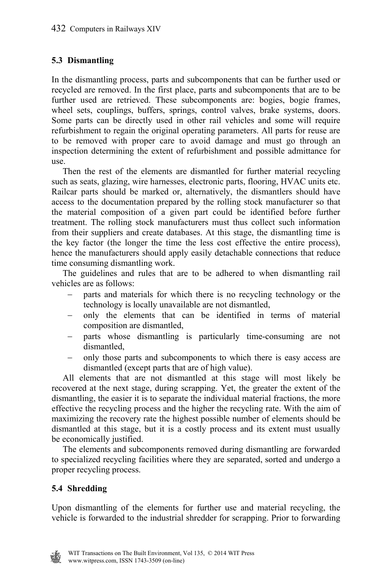#### **5.3 Dismantling**

In the dismantling process, parts and subcomponents that can be further used or recycled are removed. In the first place, parts and subcomponents that are to be further used are retrieved. These subcomponents are: bogies, bogie frames, wheel sets, couplings, buffers, springs, control valves, brake systems, doors. Some parts can be directly used in other rail vehicles and some will require refurbishment to regain the original operating parameters. All parts for reuse are to be removed with proper care to avoid damage and must go through an inspection determining the extent of refurbishment and possible admittance for use.

 Then the rest of the elements are dismantled for further material recycling such as seats, glazing, wire harnesses, electronic parts, flooring, HVAC units etc. Railcar parts should be marked or, alternatively, the dismantlers should have access to the documentation prepared by the rolling stock manufacturer so that the material composition of a given part could be identified before further treatment. The rolling stock manufacturers must thus collect such information from their suppliers and create databases. At this stage, the dismantling time is the key factor (the longer the time the less cost effective the entire process), hence the manufacturers should apply easily detachable connections that reduce time consuming dismantling work.

 The guidelines and rules that are to be adhered to when dismantling rail vehicles are as follows:

- parts and materials for which there is no recycling technology or the technology is locally unavailable are not dismantled,
- only the elements that can be identified in terms of material composition are dismantled,
- parts whose dismantling is particularly time-consuming are not dismantled,
- only those parts and subcomponents to which there is easy access are dismantled (except parts that are of high value).

 All elements that are not dismantled at this stage will most likely be recovered at the next stage, during scrapping. Yet, the greater the extent of the dismantling, the easier it is to separate the individual material fractions, the more effective the recycling process and the higher the recycling rate. With the aim of maximizing the recovery rate the highest possible number of elements should be dismantled at this stage, but it is a costly process and its extent must usually be economically justified.

 The elements and subcomponents removed during dismantling are forwarded to specialized recycling facilities where they are separated, sorted and undergo a proper recycling process.

#### **5.4 Shredding**

Upon dismantling of the elements for further use and material recycling, the vehicle is forwarded to the industrial shredder for scrapping. Prior to forwarding

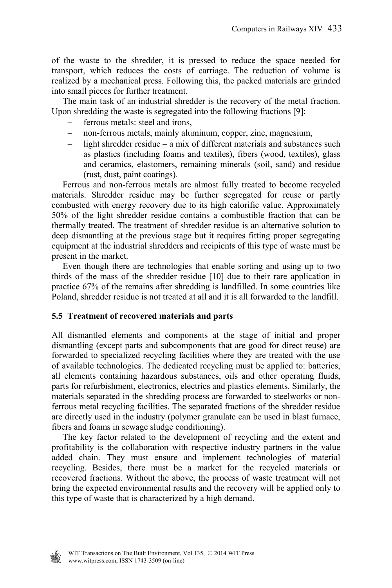of the waste to the shredder, it is pressed to reduce the space needed for transport, which reduces the costs of carriage. The reduction of volume is realized by a mechanical press. Following this, the packed materials are grinded into small pieces for further treatment.

 The main task of an industrial shredder is the recovery of the metal fraction. Upon shredding the waste is segregated into the following fractions [9]:

- ferrous metals: steel and irons
- non-ferrous metals, mainly aluminum, copper, zinc, magnesium,
- $\frac{1}{2}$  light shredder residue a mix of different materials and substances such as plastics (including foams and textiles), fibers (wood, textiles), glass and ceramics, elastomers, remaining minerals (soil, sand) and residue (rust, dust, paint coatings).

 Ferrous and non-ferrous metals are almost fully treated to become recycled materials. Shredder residue may be further segregated for reuse or partly combusted with energy recovery due to its high calorific value. Approximately 50% of the light shredder residue contains a combustible fraction that can be thermally treated. The treatment of shredder residue is an alternative solution to deep dismantling at the previous stage but it requires fitting proper segregating equipment at the industrial shredders and recipients of this type of waste must be present in the market.

 Even though there are technologies that enable sorting and using up to two thirds of the mass of the shredder residue [10] due to their rare application in practice 67% of the remains after shredding is landfilled. In some countries like Poland, shredder residue is not treated at all and it is all forwarded to the landfill.

#### **5.5 Treatment of recovered materials and parts**

All dismantled elements and components at the stage of initial and proper dismantling (except parts and subcomponents that are good for direct reuse) are forwarded to specialized recycling facilities where they are treated with the use of available technologies. The dedicated recycling must be applied to: batteries, all elements containing hazardous substances, oils and other operating fluids, parts for refurbishment, electronics, electrics and plastics elements. Similarly, the materials separated in the shredding process are forwarded to steelworks or nonferrous metal recycling facilities. The separated fractions of the shredder residue are directly used in the industry (polymer granulate can be used in blast furnace, fibers and foams in sewage sludge conditioning).

 The key factor related to the development of recycling and the extent and profitability is the collaboration with respective industry partners in the value added chain. They must ensure and implement technologies of material recycling. Besides, there must be a market for the recycled materials or recovered fractions. Without the above, the process of waste treatment will not bring the expected environmental results and the recovery will be applied only to this type of waste that is characterized by a high demand.

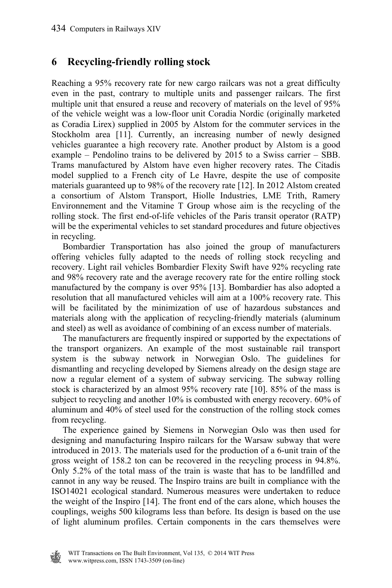# **6 Recycling-friendly rolling stock**

Reaching a 95% recovery rate for new cargo railcars was not a great difficulty even in the past, contrary to multiple units and passenger railcars. The first multiple unit that ensured a reuse and recovery of materials on the level of 95% of the vehicle weight was a low-floor unit Coradia Nordic (originally marketed as Coradia Lirex) supplied in 2005 by Alstom for the commuter services in the Stockholm area [11]. Currently, an increasing number of newly designed vehicles guarantee a high recovery rate. Another product by Alstom is a good example – Pendolino trains to be delivered by 2015 to a Swiss carrier – SBB. Trams manufactured by Alstom have even higher recovery rates. The Citadis model supplied to a French city of Le Havre, despite the use of composite materials guaranteed up to 98% of the recovery rate [12]. In 2012 Alstom created a consortium of Alstom Transport, Hiolle Industries, LME Trith, Ramery Environnement and the Vitamine T Group whose aim is the recycling of the rolling stock. The first end-of-life vehicles of the Paris transit operator (RATP) will be the experimental vehicles to set standard procedures and future objectives in recycling.

 Bombardier Transportation has also joined the group of manufacturers offering vehicles fully adapted to the needs of rolling stock recycling and recovery. Light rail vehicles Bombardier Flexity Swift have 92% recycling rate and 98% recovery rate and the average recovery rate for the entire rolling stock manufactured by the company is over 95% [13]. Bombardier has also adopted a resolution that all manufactured vehicles will aim at a 100% recovery rate. This will be facilitated by the minimization of use of hazardous substances and materials along with the application of recycling-friendly materials (aluminum and steel) as well as avoidance of combining of an excess number of materials.

 The manufacturers are frequently inspired or supported by the expectations of the transport organizers. An example of the most sustainable rail transport system is the subway network in Norwegian Oslo. The guidelines for dismantling and recycling developed by Siemens already on the design stage are now a regular element of a system of subway servicing. The subway rolling stock is characterized by an almost 95% recovery rate [10]. 85% of the mass is subject to recycling and another 10% is combusted with energy recovery. 60% of aluminum and 40% of steel used for the construction of the rolling stock comes from recycling.

 The experience gained by Siemens in Norwegian Oslo was then used for designing and manufacturing Inspiro railcars for the Warsaw subway that were introduced in 2013. The materials used for the production of a 6-unit train of the gross weight of 158.2 ton can be recovered in the recycling process in 94.8%. Only 5.2% of the total mass of the train is waste that has to be landfilled and cannot in any way be reused. The Inspiro trains are built in compliance with the ISO14021 ecological standard. Numerous measures were undertaken to reduce the weight of the Inspiro [14]. The front end of the cars alone, which houses the couplings, weighs 500 kilograms less than before. Its design is based on the use of light aluminum profiles. Certain components in the cars themselves were

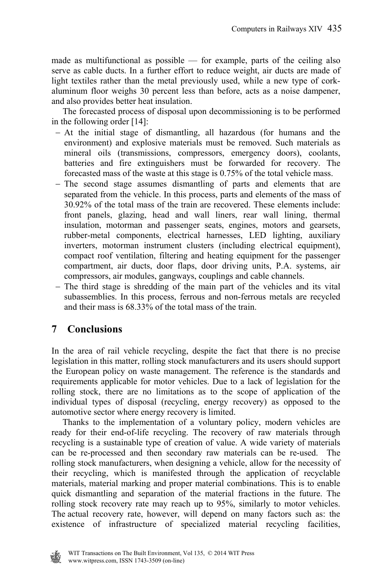made as multifunctional as possible — for example, parts of the ceiling also serve as cable ducts. In a further effort to reduce weight, air ducts are made of light textiles rather than the metal previously used, while a new type of corkaluminum floor weighs 30 percent less than before, acts as a noise dampener, and also provides better heat insulation.

 The forecasted process of disposal upon decommissioning is to be performed in the following order [14]:

- At the initial stage of dismantling, all hazardous (for humans and the environment) and explosive materials must be removed. Such materials as mineral oils (transmissions, compressors, emergency doors), coolants, batteries and fire extinguishers must be forwarded for recovery. The forecasted mass of the waste at this stage is 0.75% of the total vehicle mass.
- The second stage assumes dismantling of parts and elements that are separated from the vehicle. In this process, parts and elements of the mass of 30.92% of the total mass of the train are recovered. These elements include: front panels, glazing, head and wall liners, rear wall lining, thermal insulation, motorman and passenger seats, engines, motors and gearsets, rubber-metal components, electrical harnesses, LED lighting, auxiliary inverters, motorman instrument clusters (including electrical equipment), compact roof ventilation, filtering and heating equipment for the passenger compartment, air ducts, door flaps, door driving units, P.A. systems, air compressors, air modules, gangways, couplings and cable channels.
- The third stage is shredding of the main part of the vehicles and its vital subassemblies. In this process, ferrous and non-ferrous metals are recycled and their mass is 68.33% of the total mass of the train.

# **7 Conclusions**

In the area of rail vehicle recycling, despite the fact that there is no precise legislation in this matter, rolling stock manufacturers and its users should support the European policy on waste management. The reference is the standards and requirements applicable for motor vehicles. Due to a lack of legislation for the rolling stock, there are no limitations as to the scope of application of the individual types of disposal (recycling, energy recovery) as opposed to the automotive sector where energy recovery is limited.

 Thanks to the implementation of a voluntary policy, modern vehicles are ready for their end-of-life recycling. The recovery of raw materials through recycling is a sustainable type of creation of value. A wide variety of materials can be re-processed and then secondary raw materials can be re-used. The rolling stock manufacturers, when designing a vehicle, allow for the necessity of their recycling, which is manifested through the application of recyclable materials, material marking and proper material combinations. This is to enable quick dismantling and separation of the material fractions in the future. The rolling stock recovery rate may reach up to 95%, similarly to motor vehicles. The actual recovery rate, however, will depend on many factors such as: the existence of infrastructure of specialized material recycling facilities,